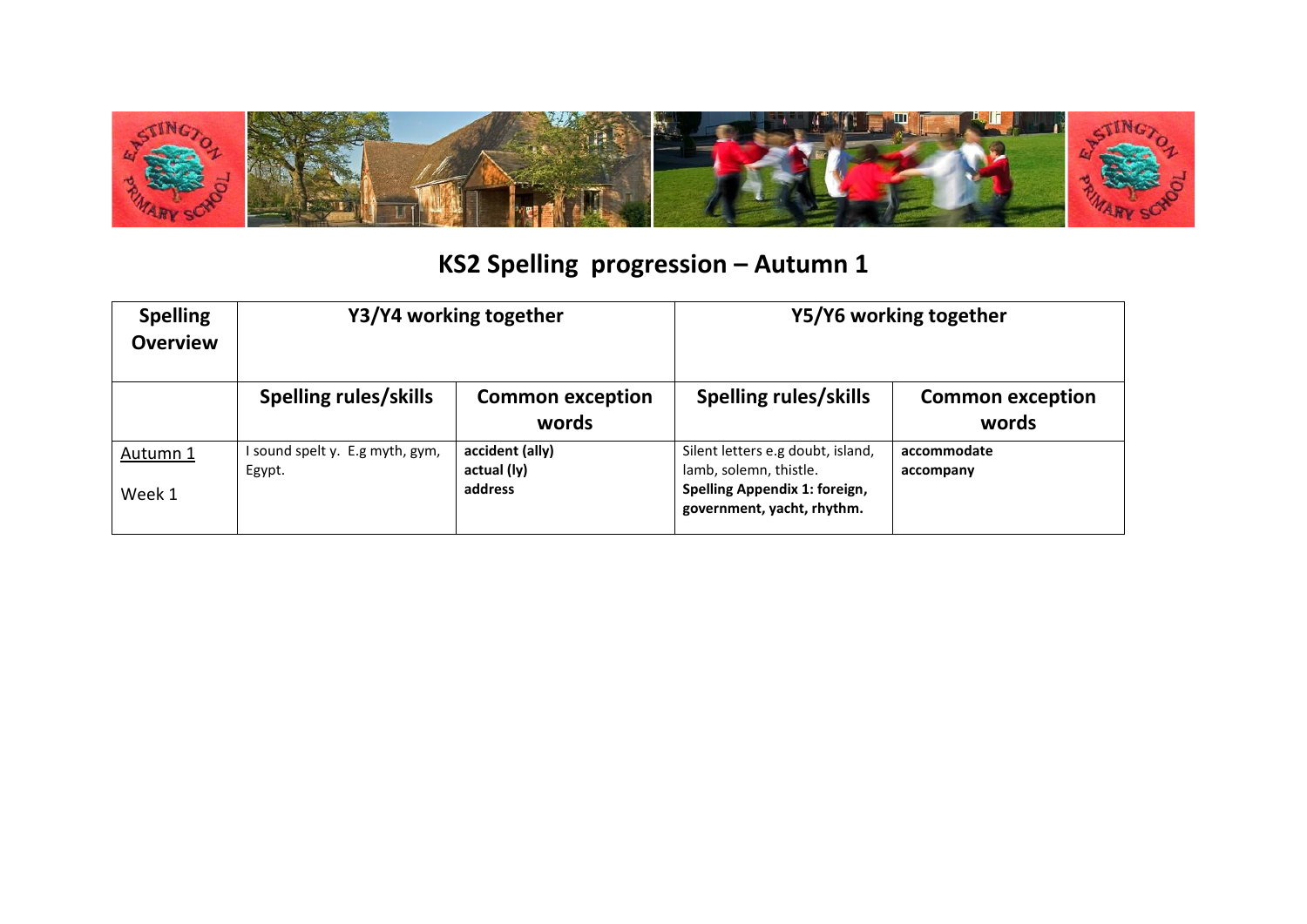

## KS2 Spelling progression - Autumn 1

| <b>Spelling</b><br><b>Overview</b> | Y3/Y4 working together                  |                                           | Y5/Y6 working together                                                                                                     |                                  |
|------------------------------------|-----------------------------------------|-------------------------------------------|----------------------------------------------------------------------------------------------------------------------------|----------------------------------|
|                                    | <b>Spelling rules/skills</b>            | <b>Common exception</b><br>words          | <b>Spelling rules/skills</b>                                                                                               | <b>Common exception</b><br>words |
| Autumn 1<br>Week 1                 | sound spelt y. E.g myth, gym,<br>Egypt. | accident (ally)<br>actual (ly)<br>address | Silent letters e.g doubt, island,<br>lamb, solemn, thistle.<br>Spelling Appendix 1: foreign,<br>government, yacht, rhythm. | accommodate<br>accompany         |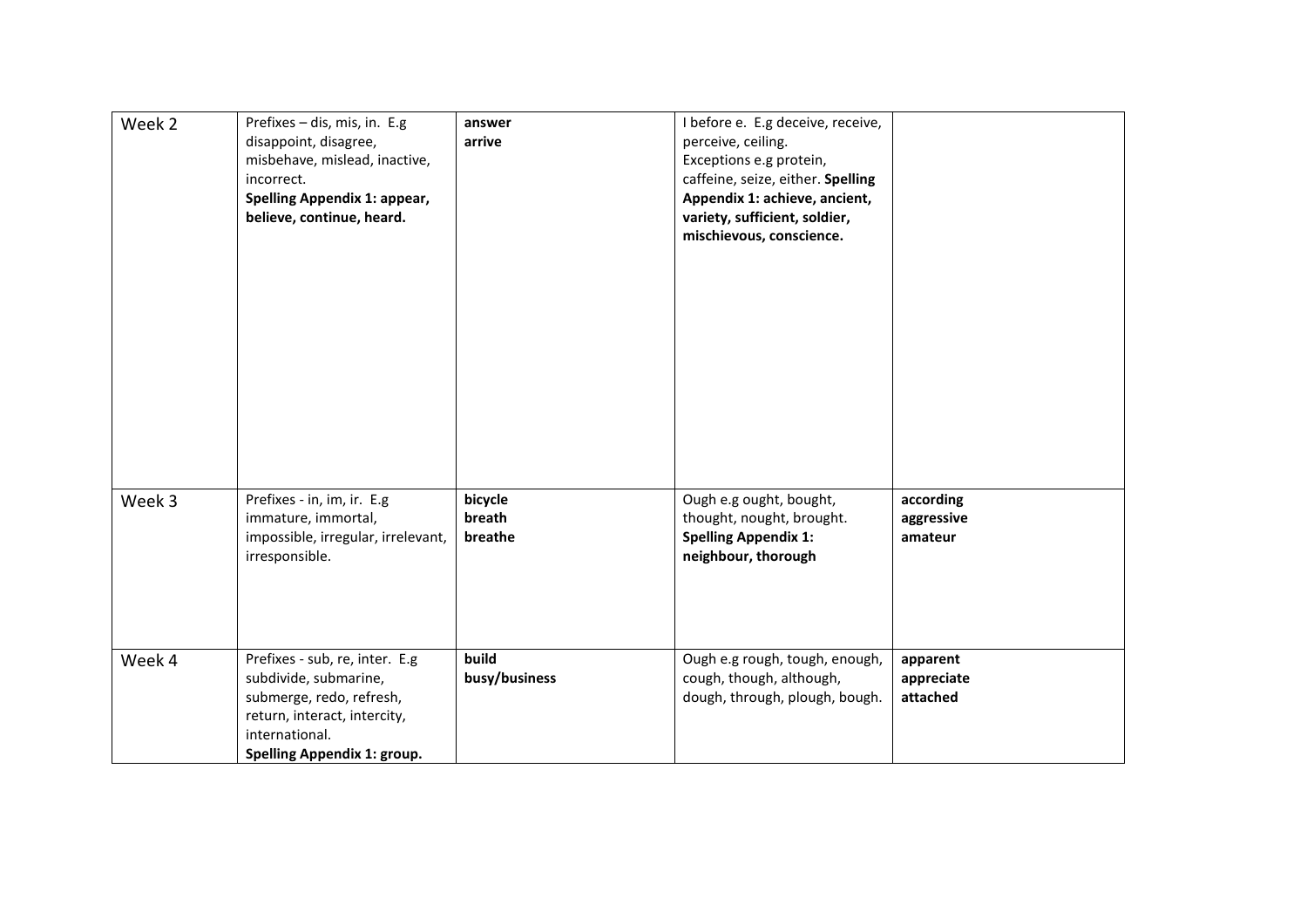| Week 2 | Prefixes - dis, mis, in. E.g<br>disappoint, disagree,<br>misbehave, mislead, inactive,<br>incorrect.<br>Spelling Appendix 1: appear,<br>believe, continue, heard.    | answer<br>arrive             | I before e. E.g deceive, receive,<br>perceive, ceiling.<br>Exceptions e.g protein,<br>caffeine, seize, either. Spelling<br>Appendix 1: achieve, ancient,<br>variety, sufficient, soldier,<br>mischievous, conscience. |                                    |
|--------|----------------------------------------------------------------------------------------------------------------------------------------------------------------------|------------------------------|-----------------------------------------------------------------------------------------------------------------------------------------------------------------------------------------------------------------------|------------------------------------|
| Week 3 | Prefixes - in, im, ir. E.g<br>immature, immortal,<br>impossible, irregular, irrelevant,<br>irresponsible.                                                            | bicycle<br>breath<br>breathe | Ough e.g ought, bought,<br>thought, nought, brought.<br><b>Spelling Appendix 1:</b><br>neighbour, thorough                                                                                                            | according<br>aggressive<br>amateur |
| Week 4 | Prefixes - sub, re, inter. E.g<br>subdivide, submarine,<br>submerge, redo, refresh,<br>return, interact, intercity,<br>international.<br>Spelling Appendix 1: group. | build<br>busy/business       | Ough e.g rough, tough, enough,<br>cough, though, although,<br>dough, through, plough, bough.                                                                                                                          | apparent<br>appreciate<br>attached |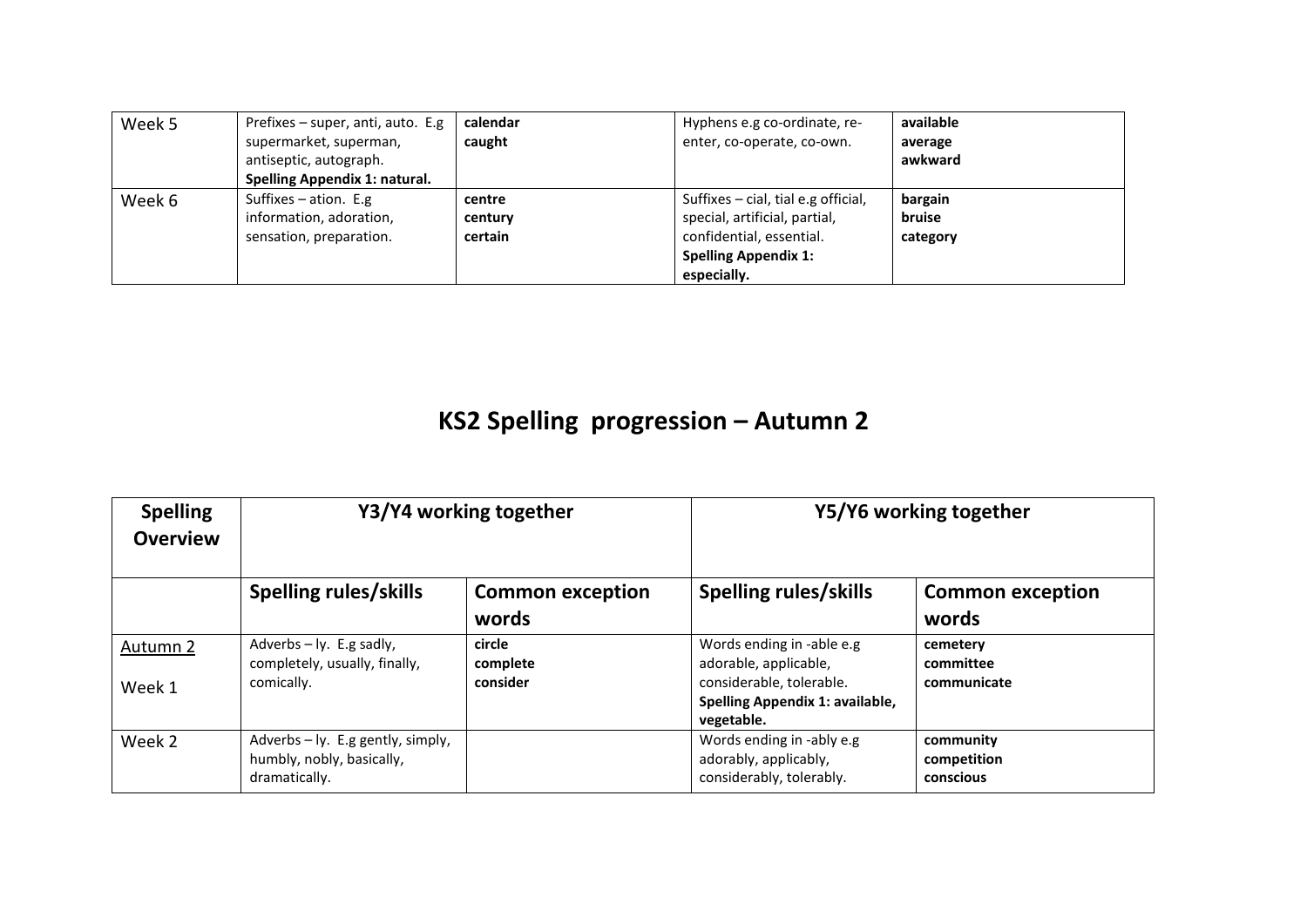| Week 5 | Prefixes $-$ super, anti, auto. E.g. | calendar | Hyphens e.g co-ordinate, re-          | available |
|--------|--------------------------------------|----------|---------------------------------------|-----------|
|        | supermarket, superman,               | caught   | enter, co-operate, co-own.            | average   |
|        | antiseptic, autograph.               |          |                                       | awkward   |
|        | Spelling Appendix 1: natural.        |          |                                       |           |
| Week 6 | Suffixes $-$ ation. E.g              | centre   | Suffixes $-$ cial, tial e.g official, | bargain   |
|        | information, adoration,              | century  | special, artificial, partial,         | bruise    |
|        | sensation, preparation.              | certain  | confidential, essential.              | category  |
|        |                                      |          | <b>Spelling Appendix 1:</b>           |           |
|        |                                      |          | especially.                           |           |

## **KS2 Spelling progression – Autumn 2**

| <b>Spelling</b><br><b>Overview</b> | Y3/Y4 working together                                                          |                                  | Y5/Y6 working together                                                                                                          |                                       |
|------------------------------------|---------------------------------------------------------------------------------|----------------------------------|---------------------------------------------------------------------------------------------------------------------------------|---------------------------------------|
|                                    | Spelling rules/skills                                                           | <b>Common exception</b><br>words | Spelling rules/skills                                                                                                           | <b>Common exception</b><br>words      |
| Autumn 2<br>Week 1                 | Adverbs $-$ ly. E.g sadly,<br>completely, usually, finally,<br>comically.       | circle<br>complete<br>consider   | Words ending in -able e.g<br>adorable, applicable,<br>considerable, tolerable.<br>Spelling Appendix 1: available,<br>vegetable. | cemetery<br>committee<br>communicate  |
| Week 2                             | Adverbs - ly. E.g gently, simply,<br>humbly, nobly, basically,<br>dramatically. |                                  | Words ending in -ably e.g<br>adorably, applicably,<br>considerably, tolerably.                                                  | community<br>competition<br>conscious |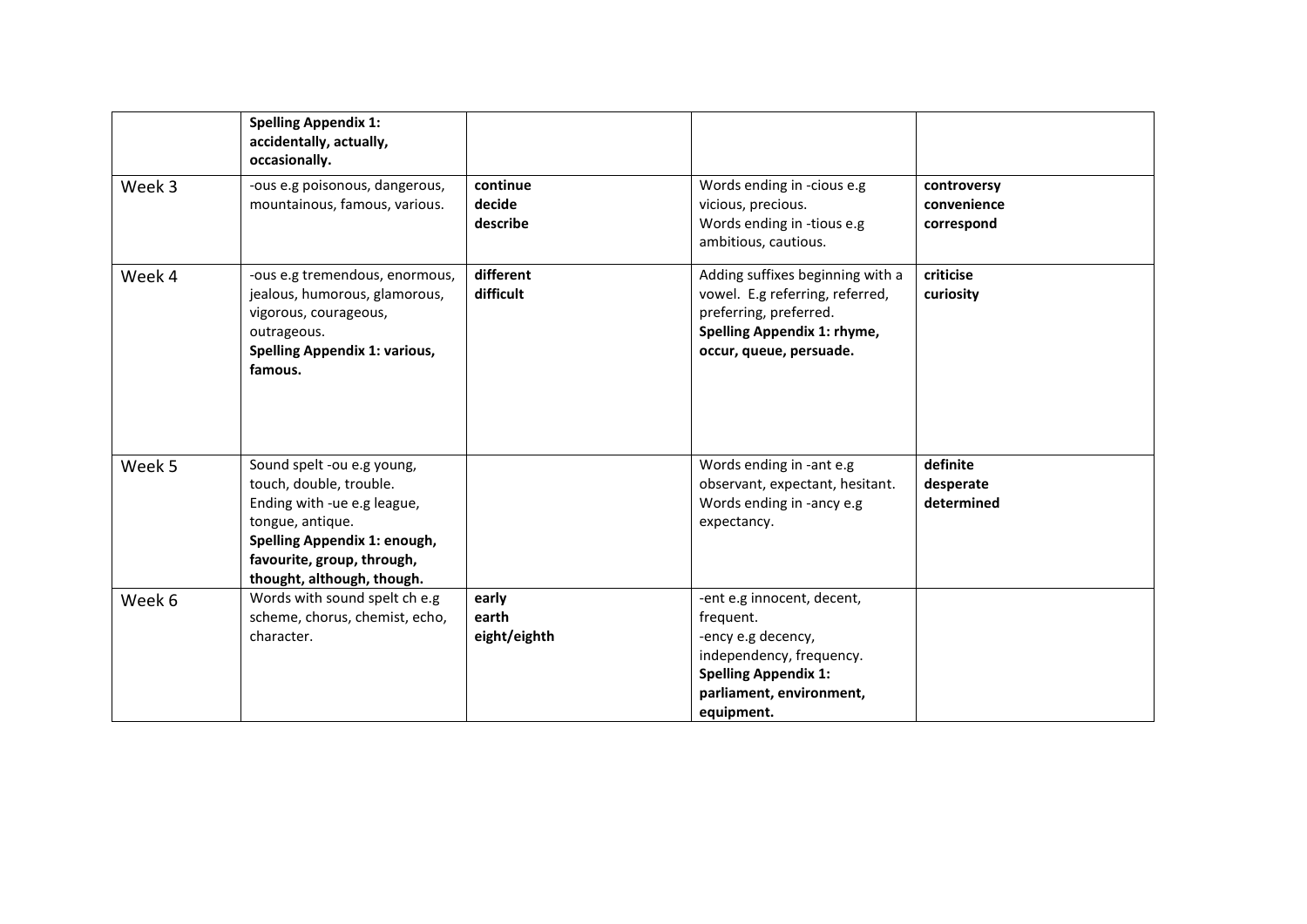|        | <b>Spelling Appendix 1:</b><br>accidentally, actually,<br>occasionally.                                                                                                                              |                                |                                                                                                                                                                    |                                          |
|--------|------------------------------------------------------------------------------------------------------------------------------------------------------------------------------------------------------|--------------------------------|--------------------------------------------------------------------------------------------------------------------------------------------------------------------|------------------------------------------|
| Week 3 | -ous e.g poisonous, dangerous,<br>mountainous, famous, various.                                                                                                                                      | continue<br>decide<br>describe | Words ending in -cious e.g<br>vicious, precious.<br>Words ending in -tious e.g<br>ambitious, cautious.                                                             | controversy<br>convenience<br>correspond |
| Week 4 | -ous e.g tremendous, enormous,<br>jealous, humorous, glamorous,<br>vigorous, courageous,<br>outrageous.<br><b>Spelling Appendix 1: various,</b><br>famous.                                           | different<br>difficult         | Adding suffixes beginning with a<br>vowel. E.g referring, referred,<br>preferring, preferred.<br>Spelling Appendix 1: rhyme,<br>occur, queue, persuade.            | criticise<br>curiosity                   |
| Week 5 | Sound spelt -ou e.g young,<br>touch, double, trouble.<br>Ending with -ue e.g league,<br>tongue, antique.<br>Spelling Appendix 1: enough,<br>favourite, group, through,<br>thought, although, though. |                                | Words ending in -ant e.g<br>observant, expectant, hesitant.<br>Words ending in -ancy e.g<br>expectancy.                                                            | definite<br>desperate<br>determined      |
| Week 6 | Words with sound spelt ch e.g<br>scheme, chorus, chemist, echo,<br>character.                                                                                                                        | early<br>earth<br>eight/eighth | -ent e.g innocent, decent,<br>frequent.<br>-ency e.g decency,<br>independency, frequency.<br><b>Spelling Appendix 1:</b><br>parliament, environment,<br>equipment. |                                          |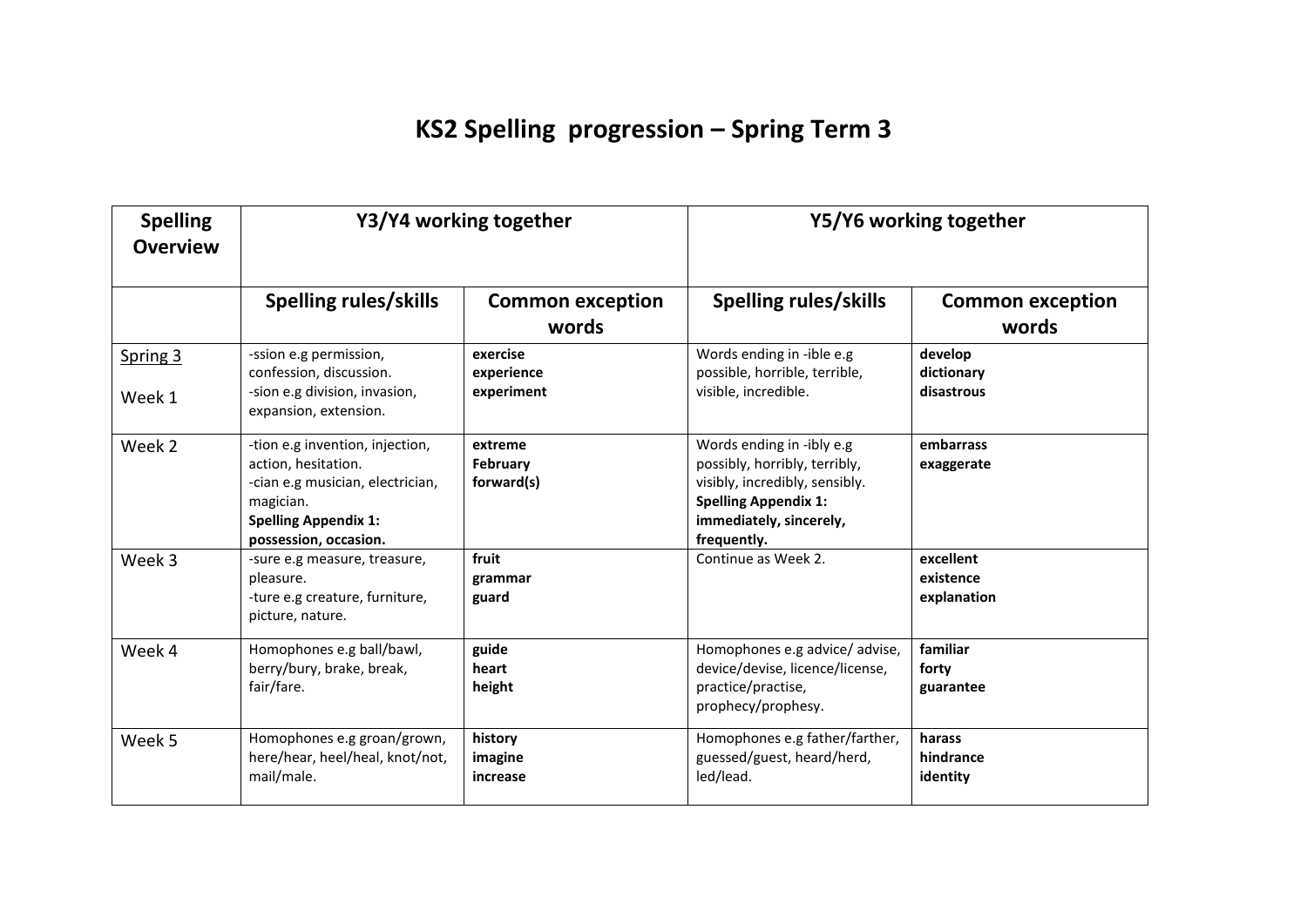## **KS2 Spelling progression – Spring Term 3**

| <b>Spelling</b><br><b>Overview</b> | Y3/Y4 working together                                                                                                                                          |                                          | Y5/Y6 working together                                                                                                                                                |                                       |
|------------------------------------|-----------------------------------------------------------------------------------------------------------------------------------------------------------------|------------------------------------------|-----------------------------------------------------------------------------------------------------------------------------------------------------------------------|---------------------------------------|
|                                    | Spelling rules/skills                                                                                                                                           | <b>Common exception</b><br>words         | Spelling rules/skills                                                                                                                                                 | <b>Common exception</b><br>words      |
| Spring 3<br>Week 1                 | -ssion e.g permission,<br>confession, discussion.<br>-sion e.g division, invasion,<br>expansion, extension.                                                     | exercise<br>experience<br>experiment     | Words ending in -ible e.g<br>possible, horrible, terrible,<br>visible, incredible.                                                                                    | develop<br>dictionary<br>disastrous   |
| Week 2                             | -tion e.g invention, injection,<br>action, hesitation.<br>-cian e.g musician, electrician,<br>magician.<br><b>Spelling Appendix 1:</b><br>possession, occasion. | extreme<br><b>February</b><br>forward(s) | Words ending in -ibly e.g<br>possibly, horribly, terribly,<br>visibly, incredibly, sensibly.<br><b>Spelling Appendix 1:</b><br>immediately, sincerely,<br>frequently. | embarrass<br>exaggerate               |
| Week 3                             | -sure e.g measure, treasure,<br>pleasure.<br>-ture e.g creature, furniture,<br>picture, nature.                                                                 | fruit<br>grammar<br>guard                | Continue as Week 2.                                                                                                                                                   | excellent<br>existence<br>explanation |
| Week 4                             | Homophones e.g ball/bawl,<br>berry/bury, brake, break,<br>fair/fare.                                                                                            | guide<br>heart<br>height                 | Homophones e.g advice/ advise,<br>device/devise, licence/license,<br>practice/practise,<br>prophecy/prophesy.                                                         | familiar<br>forty<br>guarantee        |
| Week 5                             | Homophones e.g groan/grown,<br>here/hear, heel/heal, knot/not,<br>mail/male.                                                                                    | history<br>imagine<br>increase           | Homophones e.g father/farther,<br>guessed/guest, heard/herd,<br>led/lead.                                                                                             | harass<br>hindrance<br>identity       |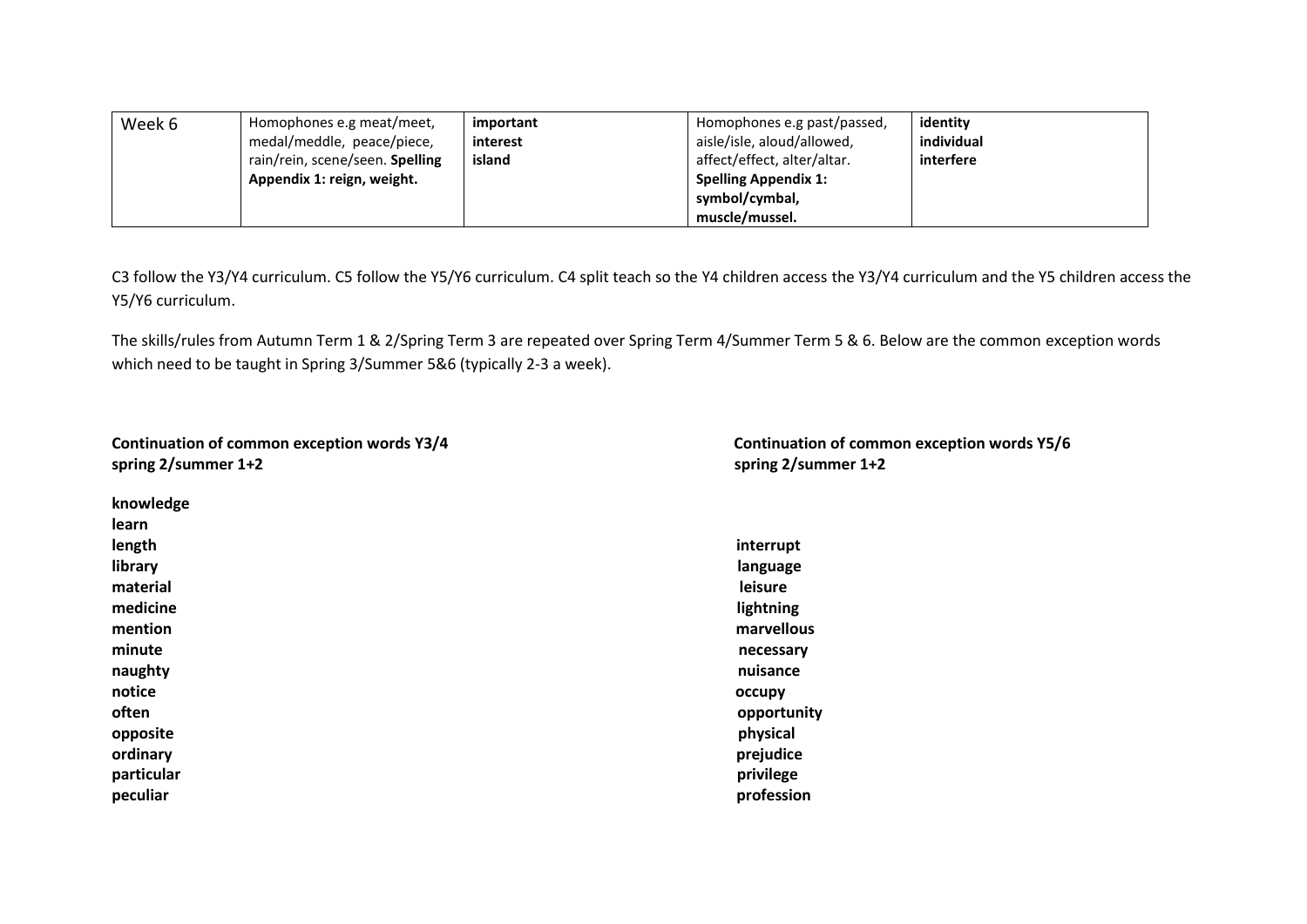| Week 6 | Homophones e.g meat/meet,       | important | Homophones e.g past/passed, | identity   |
|--------|---------------------------------|-----------|-----------------------------|------------|
|        | medal/meddle, peace/piece,      | interest  | aisle/isle, aloud/allowed,  | individual |
|        | rain/rein, scene/seen. Spelling | island    | affect/effect, alter/altar. | interfere  |
|        | Appendix 1: reign, weight.      |           | <b>Spelling Appendix 1:</b> |            |
|        |                                 |           | symbol/cymbal,              |            |
|        |                                 |           | muscle/mussel.              |            |

C3 follow the Y3/Y4 curriculum. C5 follow the Y5/Y6 curriculum. C4 split teach so the Y4 children access the Y3/Y4 curriculum and the Y5 children access the Y5/Y6 curriculum.

The skills/rules from Autumn Term 1 & 2/Spring Term 3 are repeated over Spring Term 4/Summer Term 5 & 6. Below are the common exception words which need to be taught in Spring 3/Summer 5&6 (typically 2-3 a week).

| Continuation of common exception words Y3/4 |  |
|---------------------------------------------|--|
| spring $2$ /summer 1+2                      |  |

| knowledge  |             |
|------------|-------------|
| learn      |             |
| length     | interrupt   |
| library    | language    |
| material   | leisure     |
| medicine   | lightning   |
| mention    | marvellous  |
| minute     | necessary   |
| naughty    | nuisance    |
| notice     | occupy      |
| often      | opportunity |
| opposite   | physical    |
| ordinary   | prejudice   |
| particular | privilege   |
| peculiar   | profession  |

**Continuation of common exception words Y3/4 Continuation of common exception words Y5/6 spring 2/summer 1+2 spring 2/summer 1+2**